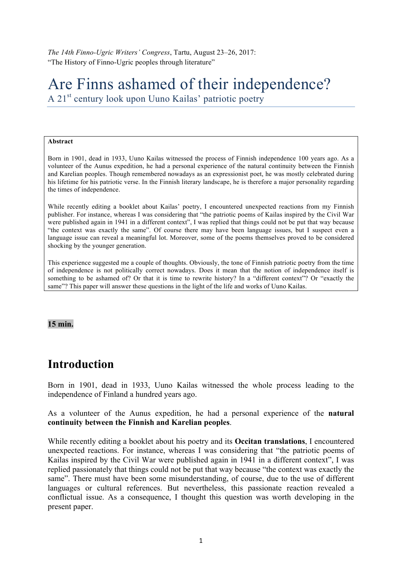*The 14th Finno-Ugric Writers' Congress*, Tartu, August 23–26, 2017: "The History of Finno-Ugric peoples through literature"

# Are Finns ashamed of their independence?

A 21<sup>st</sup> century look upon Uuno Kailas' patriotic poetry

#### **Abstract**

Born in 1901, dead in 1933, Uuno Kailas witnessed the process of Finnish independence 100 years ago. As a volunteer of the Aunus expedition, he had a personal experience of the natural continuity between the Finnish and Karelian peoples. Though remembered nowadays as an expressionist poet, he was mostly celebrated during his lifetime for his patriotic verse. In the Finnish literary landscape, he is therefore a major personality regarding the times of independence.

While recently editing a booklet about Kailas' poetry, I encountered unexpected reactions from my Finnish publisher. For instance, whereas I was considering that "the patriotic poems of Kailas inspired by the Civil War were published again in 1941 in a different context", I was replied that things could not be put that way because "the context was exactly the same". Of course there may have been language issues, but I suspect even a language issue can reveal a meaningful lot. Moreover, some of the poems themselves proved to be considered shocking by the younger generation.

This experience suggested me a couple of thoughts. Obviously, the tone of Finnish patriotic poetry from the time of independence is not politically correct nowadays. Does it mean that the notion of independence itself is something to be ashamed of? Or that it is time to rewrite history? In a "different context"? Or "exactly the same"? This paper will answer these questions in the light of the life and works of Uuno Kailas.

#### **15 min.**

### **Introduction**

Born in 1901, dead in 1933, Uuno Kailas witnessed the whole process leading to the independence of Finland a hundred years ago.

As a volunteer of the Aunus expedition, he had a personal experience of the **natural continuity between the Finnish and Karelian peoples**.

While recently editing a booklet about his poetry and its **Occitan translations**, I encountered unexpected reactions. For instance, whereas I was considering that "the patriotic poems of Kailas inspired by the Civil War were published again in 1941 in a different context", I was replied passionately that things could not be put that way because "the context was exactly the same". There must have been some misunderstanding, of course, due to the use of different languages or cultural references. But nevertheless, this passionate reaction revealed a conflictual issue. As a consequence, I thought this question was worth developing in the present paper.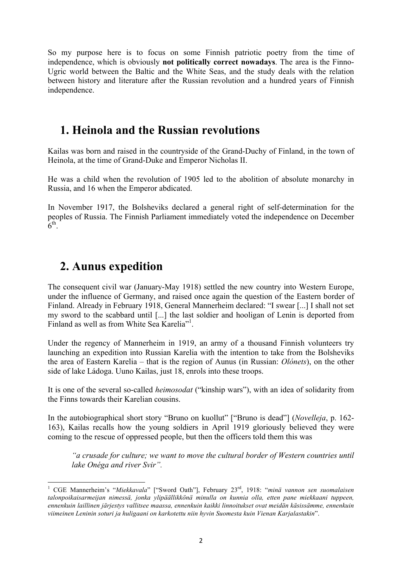So my purpose here is to focus on some Finnish patriotic poetry from the time of independence, which is obviously **not politically correct nowadays**. The area is the Finno-Ugric world between the Baltic and the White Seas, and the study deals with the relation between history and literature after the Russian revolution and a hundred years of Finnish independence.

## **1. Heinola and the Russian revolutions**

Kailas was born and raised in the countryside of the Grand-Duchy of Finland, in the town of Heinola, at the time of Grand-Duke and Emperor Nicholas II.

He was a child when the revolution of 1905 led to the abolition of absolute monarchy in Russia, and 16 when the Emperor abdicated.

In November 1917, the Bolsheviks declared a general right of self-determination for the peoples of Russia. The Finnish Parliament immediately voted the independence on December  $6<sup>th</sup>$ .

## **2. Aunus expedition**

 

The consequent civil war (January-May 1918) settled the new country into Western Europe, under the influence of Germany, and raised once again the question of the Eastern border of Finland. Already in February 1918, General Mannerheim declared: "I swear [...] I shall not set my sword to the scabbard until [...] the last soldier and hooligan of Lenin is deported from Finland as well as from White Sea Karelia"<sup>1</sup>.

Under the regency of Mannerheim in 1919, an army of a thousand Finnish volunteers try launching an expedition into Russian Karelia with the intention to take from the Bolsheviks the area of Eastern Karelia – that is the region of Aunus (in Russian: *Olónets*), on the other side of lake Ládoga. Uuno Kailas, just 18, enrols into these troops.

It is one of the several so-called *heimosodat* ("kinship wars"), with an idea of solidarity from the Finns towards their Karelian cousins.

In the autobiographical short story "Bruno on kuollut" ["Bruno is dead"] (*Novelleja*, p. 162- 163), Kailas recalls how the young soldiers in April 1919 gloriously believed they were coming to the rescue of oppressed people, but then the officers told them this was

*"a crusade for culture; we want to move the cultural border of Western countries until lake Onéga and river Svir".* 

<sup>&</sup>lt;sup>1</sup> CGE Mannerheim's "Miekkavala" ["Sword Oath"], February 23<sup>rd</sup>, 1918: "*minä vannon sen suomalaisen talonpoikaisarmeijan nimessä, jonka ylipäällikkönä minulla on kunnia olla, etten pane miekkaani tuppeen, ennenkuin laillinen järjestys vallitsee maassa, ennenkuin kaikki linnoitukset ovat meidän käsissämme, ennenkuin viimeinen Leninin soturi ja huligaani on karkotettu niin hyvin Suomesta kuin Vienan Karjalastakin*".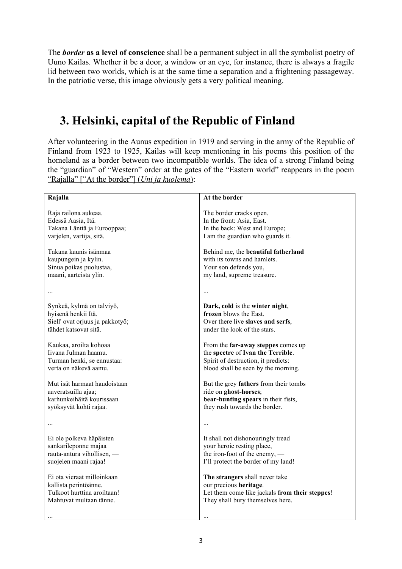The *border* **as a level of conscience** shall be a permanent subject in all the symbolist poetry of Uuno Kailas. Whether it be a door, a window or an eye, for instance, there is always a fragile lid between two worlds, which is at the same time a separation and a frightening passageway. In the patriotic verse, this image obviously gets a very political meaning.

# **3. Helsinki, capital of the Republic of Finland**

After volunteering in the Aunus expedition in 1919 and serving in the army of the Republic of Finland from 1923 to 1925, Kailas will keep mentioning in his poems this position of the homeland as a border between two incompatible worlds. The idea of a strong Finland being the "guardian" of "Western" order at the gates of the "Eastern world" reappears in the poem "Rajalla" ["At the border"] (*Uni ja kuolema*):

| Rajalla                         | At the border                                  |
|---------------------------------|------------------------------------------------|
| Raja railona aukeaa.            | The border cracks open.                        |
| Edessä Aasia, Itä.              | In the front: Asia, East.                      |
| Takana Länttä ja Eurooppaa;     | In the back: West and Europe;                  |
| varjelen, vartija, sitä.        | I am the guardian who guards it.               |
| Takana kaunis isänmaa           | Behind me, the beautiful fatherland            |
| kaupungein ja kylin.            | with its towns and hamlets.                    |
| Sinua poikas puolustaa,         | Your son defends you,                          |
| maani, aarteista ylin.          | my land, supreme treasure.                     |
|                                 | $\cdots$                                       |
| Synkeä, kylmä on talviyö,       | Dark, cold is the winter night,                |
| hyisenä henkii Itä.             | frozen blows the East.                         |
| Siell' ovat orjuus ja pakkotyö; | Over there live slaves and serfs,              |
| tähdet katsovat sitä.           | under the look of the stars.                   |
| Kaukaa, aroilta kohoaa          | From the far-away steppes comes up             |
| Iivana Julman haamu.            | the spectre of Ivan the Terrible.              |
| Turman henki, se ennustaa:      | Spirit of destruction, it predicts:            |
| verta on näkevä aamu.           | blood shall be seen by the morning.            |
| Mut isät harmaat haudoistaan    | But the grey fathers from their tombs          |
| aaveratsuilla ajaa;             | ride on ghost-horses;                          |
| karhunkeihäitä kourissaan       | bear-hunting spears in their fists,            |
| syöksyvät kohti rajaa.          | they rush towards the border.                  |
|                                 | $\cdots$                                       |
| Ei ole polkeva häpäisten        | It shall not dishonouringly tread              |
| sankarileponne majaa            | your heroic resting place,                     |
| rauta-antura vihollisen, -      | the iron-foot of the enemy, —                  |
| suojelen maani rajaa!           | I'll protect the border of my land!            |
| Ei ota vieraat milloinkaan      | The strangers shall never take                 |
| kallista perintöänne.           | our precious heritage.                         |
| Tulkoot hurttina aroiltaan!     | Let them come like jackals from their steppes! |
| Mahtuvat multaan tänne.         | They shall bury themselves here.               |
|                                 |                                                |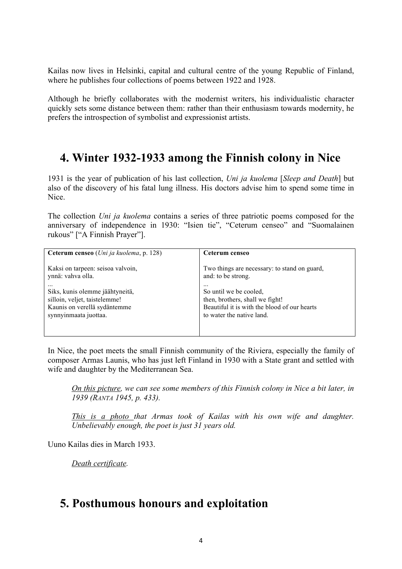Kailas now lives in Helsinki, capital and cultural centre of the young Republic of Finland, where he publishes four collections of poems between 1922 and 1928.

Although he briefly collaborates with the modernist writers, his individualistic character quickly sets some distance between them: rather than their enthusiasm towards modernity, he prefers the introspection of symbolist and expressionist artists.

### **4. Winter 1932-1933 among the Finnish colony in Nice**

1931 is the year of publication of his last collection, *Uni ja kuolema* [*Sleep and Death*] but also of the discovery of his fatal lung illness. His doctors advise him to spend some time in Nice.

The collection *Uni ja kuolema* contains a series of three patriotic poems composed for the anniversary of independence in 1930: "Isien tie", "Ceterum censeo" and "Suomalainen rukous" ["A Finnish Prayer"].

| Ceterum censeo (Uni ja kuolema, p. 128) | Ceterum censeo                               |
|-----------------------------------------|----------------------------------------------|
| Kaksi on tarpeen: seisoa valvoin,       | Two things are necessary: to stand on guard, |
| ynnä: vahva olla.                       | and: to be strong.                           |
|                                         | $\cdots$                                     |
| Siks, kunis olemme jäähtyneitä,         | So until we be cooled,                       |
| silloin, veljet, taistelemme!           | then, brothers, shall we fight!              |
| Kaunis on verellä sydäntemme            | Beautiful it is with the blood of our hearts |
| synnyinmaata juottaa.                   | to water the native land.                    |

In Nice, the poet meets the small Finnish community of the Riviera, especially the family of composer Armas Launis, who has just left Finland in 1930 with a State grant and settled with wife and daughter by the Mediterranean Sea.

*On this picture, we can see some members of this Finnish colony in Nice a bit later, in 1939 (RANTA 1945, p. 433).* 

*This is a photo that Armas took of Kailas with his own wife and daughter. Unbelievably enough, the poet is just 31 years old.* 

Uuno Kailas dies in March 1933.

*Death certificate.* 

### **5. Posthumous honours and exploitation**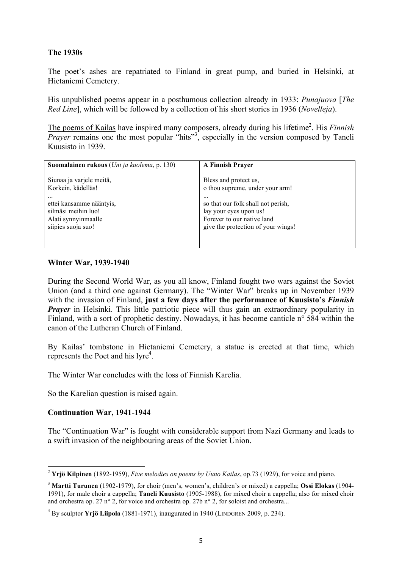#### **The 1930s**

The poet's ashes are repatriated to Finland in great pump, and buried in Helsinki, at Hietaniemi Cemetery.

His unpublished poems appear in a posthumous collection already in 1933: *Punajuova* [*The Red Line*], which will be followed by a collection of his short stories in 1936 (*Novelleja*).

The poems of Kailas have inspired many composers, already during his lifetime<sup>2</sup>. His *Finnish Prayer* remains one the most popular "hits"<sup>3</sup>, especially in the version composed by Taneli Kuusisto in 1939.

| Suomalainen rukous (Uni ja kuolema, p. 130) | <b>A Finnish Prayer</b>            |
|---------------------------------------------|------------------------------------|
| Siunaa ja varjele meitä,                    | Bless and protect us,              |
| Korkein, kädelläs!                          | o thou supreme, under your arm!    |
|                                             | $\ddotsc$                          |
| ettei kansamme nääntyis,                    | so that our folk shall not perish, |
| silmäsi meihin luo!                         | lay your eyes upon us!             |
| Alati synnyinmaalle                         | Forever to our native land         |
| siipies suoja suo!                          | give the protection of your wings! |

#### **Winter War, 1939-1940**

During the Second World War, as you all know, Finland fought two wars against the Soviet Union (and a third one against Germany). The "Winter War" breaks up in November 1939 with the invasion of Finland, **just a few days after the performance of Kuusisto's** *Finnish*  **Prayer** in Helsinki. This little patriotic piece will thus gain an extraordinary popularity in Finland, with a sort of prophetic destiny. Nowadays, it has become canticle n° 584 within the canon of the Lutheran Church of Finland.

By Kailas' tombstone in Hietaniemi Cemetery, a statue is erected at that time, which represents the Poet and his lyre<sup>4</sup>.

The Winter War concludes with the loss of Finnish Karelia.

So the Karelian question is raised again.

#### **Continuation War, 1941-1944**

 

The "Continuation War" is fought with considerable support from Nazi Germany and leads to a swift invasion of the neighbouring areas of the Soviet Union.

<sup>2</sup> **Yrjö Kilpinen** (1892-1959), *Five melodies on poems by Uuno Kailas*, op.73 (1929), for voice and piano.

<sup>3</sup> **Martti Turunen** (1902-1979), for choir (men's, women's, children's or mixed) a cappella; **Ossi Elokas** (1904- 1991), for male choir a cappella; **Taneli Kuusisto** (1905-1988), for mixed choir a cappella; also for mixed choir and orchestra op. 27 n° 2, for voice and orchestra op. 27b n° 2, for soloist and orchestra...

<sup>4</sup> By sculptor **Yrjö Liipola** (1881-1971), inaugurated in 1940 (LINDGREN 2009, p. 234).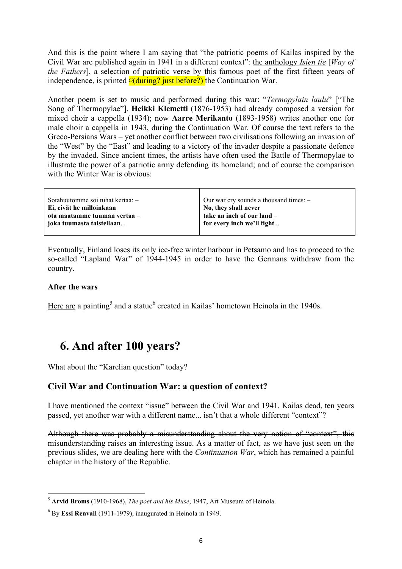And this is the point where I am saying that "the patriotic poems of Kailas inspired by the Civil War are published again in 1941 in a different context": the anthology *Isien tie* [*Way of the Fathers*], a selection of patriotic verse by this famous poet of the first fifteen years of independence, is printed  $\alpha$ (during? just before?) the Continuation War.

Another poem is set to music and performed during this war: "*Termopylain laulu*" ["The Song of Thermopylae"]. **Heikki Klemetti** (1876-1953) had already composed a version for mixed choir a cappella (1934); now **Aarre Merikanto** (1893-1958) writes another one for male choir a cappella in 1943, during the Continuation War. Of course the text refers to the Greco-Persians Wars – yet another conflict between two civilisations following an invasion of the "West" by the "East" and leading to a victory of the invader despite a passionate defence by the invaded. Since ancient times, the artists have often used the Battle of Thermopylae to illustrate the power of a patriotic army defending its homeland; and of course the comparison with the Winter War is obvious:

| Sotahuutomme soi tuhat kertaa: - | Our war cry sounds a thousand times: $-$ |
|----------------------------------|------------------------------------------|
| Ei, eivät he milloinkaan         | No, they shall never                     |
| ota maatamme tuuman vertaa –     | take an inch of our land -               |
| joka tuumasta taistellaan        | for every inch we'll fight               |
|                                  |                                          |

Eventually, Finland loses its only ice-free winter harbour in Petsamo and has to proceed to the so-called "Lapland War" of 1944-1945 in order to have the Germans withdraw from the country.

#### **After the wars**

Here are a painting<sup>5</sup> and a statue<sup>6</sup> created in Kailas' hometown Heinola in the 1940s.

# **6. And after 100 years?**

What about the "Karelian question" today?

#### **Civil War and Continuation War: a question of context?**

I have mentioned the context "issue" between the Civil War and 1941. Kailas dead, ten years passed, yet another war with a different name... isn't that a whole different "context"?

Although there was probably a misunderstanding about the very notion of "context", this misunderstanding raises an interesting issue. As a matter of fact, as we have just seen on the previous slides, we are dealing here with the *Continuation War*, which has remained a painful chapter in the history of the Republic.

 

<sup>5</sup> **Arvid Broms** (1910-1968), *The poet and his Muse*, 1947, Art Museum of Heinola.

<sup>6</sup> By **Essi Renvall** (1911-1979), inaugurated in Heinola in 1949.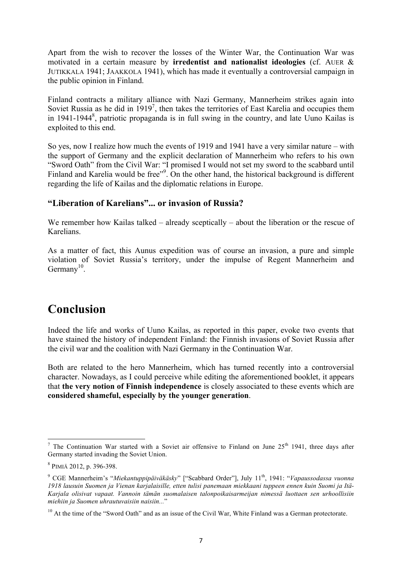Apart from the wish to recover the losses of the Winter War, the Continuation War was motivated in a certain measure by **irredentist and nationalist ideologies** (cf. AUER & JUTIKKALA 1941; JAAKKOLA 1941), which has made it eventually a controversial campaign in the public opinion in Finland.

Finland contracts a military alliance with Nazi Germany, Mannerheim strikes again into Soviet Russia as he did in  $1919<sup>7</sup>$ , then takes the territories of East Karelia and occupies them in 1941-1944<sup>8</sup>, patriotic propaganda is in full swing in the country, and late Uuno Kailas is exploited to this end.

So yes, now I realize how much the events of 1919 and 1941 have a very similar nature – with the support of Germany and the explicit declaration of Mannerheim who refers to his own "Sword Oath" from the Civil War: "I promised I would not set my sword to the scabbard until Finland and Karelia would be free"<sup>9</sup>. On the other hand, the historical background is different regarding the life of Kailas and the diplomatic relations in Europe.

#### **"Liberation of Karelians"... or invasion of Russia?**

We remember how Kailas talked – already sceptically – about the liberation or the rescue of Karelians.

As a matter of fact, this Aunus expedition was of course an invasion, a pure and simple violation of Soviet Russia's territory, under the impulse of Regent Mannerheim and Germany $^{10}$ .

# **Conclusion**

Indeed the life and works of Uuno Kailas, as reported in this paper, evoke two events that have stained the history of independent Finland: the Finnish invasions of Soviet Russia after the civil war and the coalition with Nazi Germany in the Continuation War.

Both are related to the hero Mannerheim, which has turned recently into a controversial character. Nowadays, as I could perceive while editing the aforementioned booklet, it appears that **the very notion of Finnish independence** is closely associated to these events which are **considered shameful, especially by the younger generation**.

 

<sup>&</sup>lt;sup>7</sup> The Continuation War started with a Soviet air offensive to Finland on June  $25<sup>th</sup>$  1941, three days after Germany started invading the Soviet Union.

<sup>8</sup> PIMIÄ 2012, p. 396-398.

<sup>9</sup> CGE Mannerheim's "*Miekantuppipäiväkäsky*" ["Scabbard Order"], July 11th, 1941: "*Vapaussodassa vuonna 1918 lausuin Suomen ja Vienan karjalaisille, etten tulisi panemaan miekkaani tuppeen ennen kuin Suomi ja Itä-Karjala olisivat vapaat. Vannoin tämän suomalaisen talonpoikaisarmeijan nimessä luottaen sen urhoollisiin miehiin ja Suomen uhrautuvaisiin naisiin...*"

<sup>&</sup>lt;sup>10</sup> At the time of the "Sword Oath" and as an issue of the Civil War, White Finland was a German protectorate.